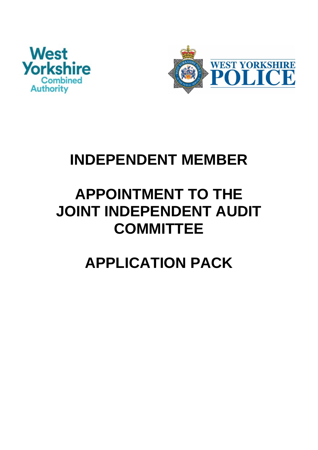



# **INDEPENDENT MEMBER**

# **APPOINTMENT TO THE JOINT INDEPENDENT AUDIT COMMITTEE**

# **APPLICATION PACK**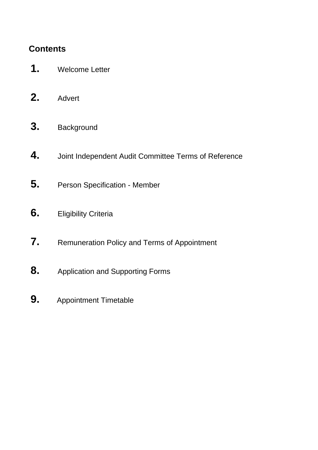# **Contents**

- **1.** Welcome Letter
- **2.** Advert
- **3.** Background
- **4.** Joint Independent Audit Committee Terms of Reference
- **5.** Person Specification Member
- **6.** Eligibility Criteria
- **7.** Remuneration Policy and Terms of Appointment
- **8.** Application and Supporting Forms
- **9.** Appointment Timetable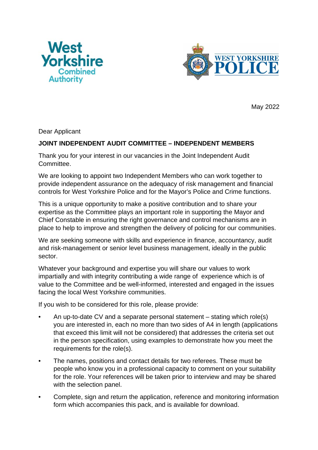



May 2022

Dear Applicant

#### **JOINT INDEPENDENT AUDIT COMMITTEE – INDEPENDENT MEMBERS**

Thank you for your interest in our vacancies in the Joint Independent Audit Committee.

We are looking to appoint two Independent Members who can work together to provide independent assurance on the adequacy of risk management and financial controls for West Yorkshire Police and for the Mayor's Police and Crime functions.

This is a unique opportunity to make a positive contribution and to share your expertise as the Committee plays an important role in supporting the Mayor and Chief Constable in ensuring the right governance and control mechanisms are in place to help to improve and strengthen the delivery of policing for our communities.

We are seeking someone with skills and experience in finance, accountancy, audit and risk-management or senior level business management, ideally in the public sector.

Whatever your background and expertise you will share our values to work impartially and with integrity contributing a wide range of experience which is of value to the Committee and be well-informed, interested and engaged in the issues facing the local West Yorkshire communities.

If you wish to be considered for this role, please provide:

- An up-to-date CV and a separate personal statement stating which role(s) you are interested in, each no more than two sides of A4 in length (applications that exceed this limit will not be considered) that addresses the criteria set out in the person specification, using examples to demonstrate how you meet the requirements for the role(s).
- The names, positions and contact details for two referees. These must be people who know you in a professional capacity to comment on your suitability for the role. Your references will be taken prior to interview and may be shared with the selection panel.
- Complete, sign and return the application, reference and monitoring information form which accompanies this pack, and is available for download.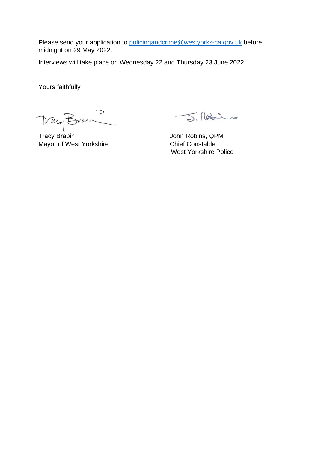Please send your application to [policingandcrime@westyorks-ca.gov.uk](mailto:policingandcrime@westyorks-ca.gov.uk) before midnight on 29 May 2022.

Interviews will take place on Wednesday 22 and Thursday 23 June 2022.

Yours faithfully

Muy Bran

Tracy Brabin **Tracy Brabin** John Robins, QPM Mayor of West Yorkshire **Chief Constable** 

J. Robins

West Yorkshire Police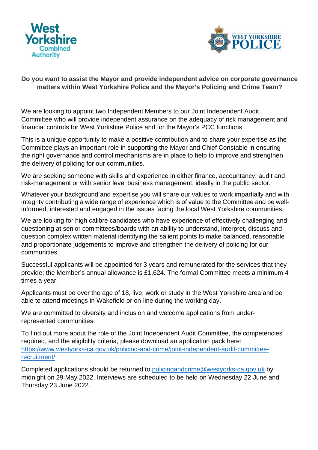



#### **Do you want to assist the Mayor and provide independent advice on corporate governance matters within West Yorkshire Police and the Mayor's Policing and Crime Team?**

We are looking to appoint two Independent Members to our Joint Independent Audit Committee who will provide independent assurance on the adequacy of risk management and financial controls for West Yorkshire Police and for the Mayor's PCC functions.

This is a unique opportunity to make a positive contribution and to share your expertise as the Committee plays an important role in supporting the Mayor and Chief Constable in ensuring the right governance and control mechanisms are in place to help to improve and strengthen the delivery of policing for our communities.

We are seeking someone with skills and experience in either finance, accountancy, audit and risk-management or with senior level business management, ideally in the public sector.

Whatever your background and expertise you will share our values to work impartially and with integrity contributing a wide range of experience which is of value to the Committee and be wellinformed, interested and engaged in the issues facing the local West Yorkshire communities.

We are looking for high calibre candidates who have experience of effectively challenging and questioning at senior committees/boards with an ability to understand, interpret, discuss and question complex written material identifying the salient points to make balanced, reasonable and proportionate judgements to improve and strengthen the delivery of policing for our communities.

Successful applicants will be appointed for 3 years and remunerated for the services that they provide; the Member's annual allowance is £1,624. The formal Committee meets a minimum 4 times a year.

Applicants must be over the age of 18, live, work or study in the West Yorkshire area and be able to attend meetings in Wakefield or on-line during the working day.

We are committed to diversity and inclusion and welcome applications from underrepresented communities.

To find out more about the role of the Joint Independent Audit Committee, the competencies required, and the eligibility criteria, please download an application pack here: [https://www.westyorks-ca.gov.uk/policing-and-crime/joint-independent-audit-committee](https://eur01.safelinks.protection.outlook.com/?url=https%3A%2F%2Fwww.westyorks-ca.gov.uk%2Fpolicing-and-crime%2Fjoint-independent-audit-committee-recruitment%2F&data=04%7C01%7C%7C1b26760671344a4d9b0208d9e4bc6c65%7C34e93bfcee664345a4fe805b67e480c0%7C0%7C0%7C637792320178483141%7CUnknown%7CTWFpbGZsb3d8eyJWIjoiMC4wLjAwMDAiLCJQIjoiV2luMzIiLCJBTiI6Ik1haWwiLCJXVCI6Mn0%3D%7C3000&sdata=0YVqBqWFk6KXXfIhhMoNmfRv31aI%2FPMnGeow06NXZ74%3D&reserved=0)[recruitment/](https://eur01.safelinks.protection.outlook.com/?url=https%3A%2F%2Fwww.westyorks-ca.gov.uk%2Fpolicing-and-crime%2Fjoint-independent-audit-committee-recruitment%2F&data=04%7C01%7C%7C1b26760671344a4d9b0208d9e4bc6c65%7C34e93bfcee664345a4fe805b67e480c0%7C0%7C0%7C637792320178483141%7CUnknown%7CTWFpbGZsb3d8eyJWIjoiMC4wLjAwMDAiLCJQIjoiV2luMzIiLCJBTiI6Ik1haWwiLCJXVCI6Mn0%3D%7C3000&sdata=0YVqBqWFk6KXXfIhhMoNmfRv31aI%2FPMnGeow06NXZ74%3D&reserved=0)

Completed applications should be returned to [policingandcrime@westyorks-ca.gov.uk](mailto:policingandcrime@westyorks-ca.gov.uk) by midnight on 29 May 2022. Interviews are scheduled to be held on Wednesday 22 June and Thursday 23 June 2022.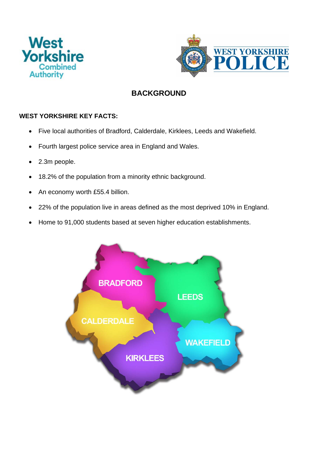



## **BACKGROUND**

### **WEST YORKSHIRE KEY FACTS:**

- Five local authorities of Bradford, Calderdale, Kirklees, Leeds and Wakefield.
- Fourth largest police service area in England and Wales.
- 2.3m people.
- 18.2% of the population from a minority ethnic background.
- An economy worth £55.4 billion.
- 22% of the population live in areas defined as the most deprived 10% in England.
- Home to 91,000 students based at seven higher education establishments.

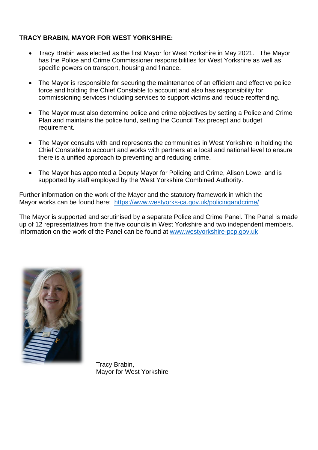#### **TRACY BRABIN, MAYOR FOR WEST YORKSHIRE:**

- Tracy Brabin was elected as the first Mayor for West Yorkshire in May 2021. The Mayor has the Police and Crime Commissioner responsibilities for West Yorkshire as well as specific powers on transport, housing and finance.
- The Mayor is responsible for securing the maintenance of an efficient and effective police force and holding the Chief Constable to account and also has responsibility for commissioning services including services to support victims and reduce reoffending.
- The Mayor must also determine police and crime objectives by setting a Police and Crime Plan and maintains the police fund, setting the Council Tax precept and budget requirement.
- The Mayor consults with and represents the communities in West Yorkshire in holding the Chief Constable to account and works with partners at a local and national level to ensure there is a unified approach to preventing and reducing crime.
- The Mayor has appointed a Deputy Mayor for Policing and Crime, Alison Lowe, and is supported by staff employed by the West Yorkshire Combined Authority.

Further information on the work of the Mayor and the statutory framework in which the Mayor works can be found here: <https://www.westyorks-ca.gov.uk/policingandcrime/>

The Mayor is supported and scrutinised by a separate Police and Crime Panel. The Panel is made up of 12 representatives from the five councils in West Yorkshire and two independent members. Information on the work of the Panel can be found at [www.westyorkshire-pcp.gov.uk](http://www.westyorkshire-pcp.gov.uk/)



 Tracy Brabin, Mayor for West Yorkshire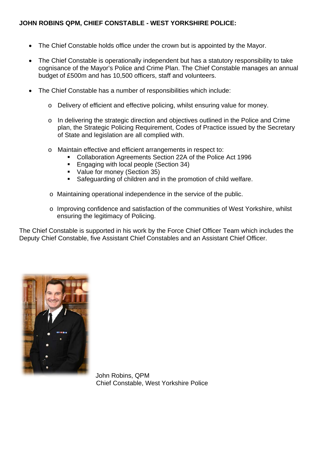- The Chief Constable holds office under the crown but is appointed by the Mayor.
- The Chief Constable is operationally independent but has a statutory responsibility to take cognisance of the Mayor's Police and Crime Plan. The Chief Constable manages an annual budget of £500m and has 10,500 officers, staff and volunteers.
- The Chief Constable has a number of responsibilities which include:
	- o Delivery of efficient and effective policing, whilst ensuring value for money.
	- o In delivering the strategic direction and objectives outlined in the Police and Crime plan, the Strategic Policing Requirement, Codes of Practice issued by the Secretary of State and legislation are all complied with.
	- o Maintain effective and efficient arrangements in respect to:
		- Collaboration Agreements Section 22A of the Police Act 1996
		- **Engaging with local people (Section 34)**
		- Value for money (Section 35)
		- Safeguarding of children and in the promotion of child welfare.
	- o Maintaining operational independence in the service of the public.
	- o Improving confidence and satisfaction of the communities of West Yorkshire, whilst ensuring the legitimacy of Policing.

The Chief Constable is supported in his work by the Force Chief Officer Team which includes the Deputy Chief Constable, five Assistant Chief Constables and an Assistant Chief Officer.



 John Robins, QPM Chief Constable, West Yorkshire Police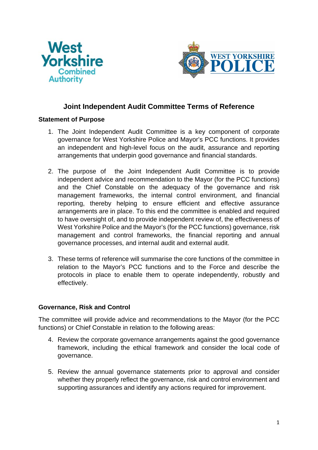



### **Joint Independent Audit Committee Terms of Reference**

#### **Statement of Purpose**

- 1. The Joint Independent Audit Committee is a key component of corporate governance for West Yorkshire Police and Mayor's PCC functions. It provides an independent and high-level focus on the audit, assurance and reporting arrangements that underpin good governance and financial standards.
- 2. The purpose of the Joint Independent Audit Committee is to provide independent advice and recommendation to the Mayor (for the PCC functions) and the Chief Constable on the adequacy of the governance and risk management frameworks, the internal control environment, and financial reporting, thereby helping to ensure efficient and effective assurance arrangements are in place. To this end the committee is enabled and required to have oversight of, and to provide independent review of, the effectiveness of West Yorkshire Police and the Mayor's (for the PCC functions) governance, risk management and control frameworks, the financial reporting and annual governance processes, and internal audit and external audit.
- 3. These terms of reference will summarise the core functions of the committee in relation to the Mayor's PCC functions and to the Force and describe the protocols in place to enable them to operate independently, robustly and effectively.

#### **Governance, Risk and Control**

The committee will provide advice and recommendations to the Mayor (for the PCC functions) or Chief Constable in relation to the following areas:

- 4. Review the corporate governance arrangements against the good governance framework, including the ethical framework and consider the local code of governance.
- 5. Review the annual governance statements prior to approval and consider whether they properly reflect the governance, risk and control environment and supporting assurances and identify any actions required for improvement.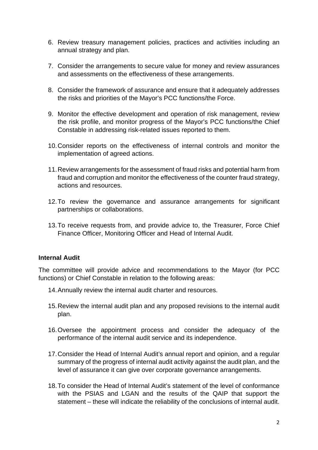- 6. Review treasury management policies, practices and activities including an annual strategy and plan.
- 7. Consider the arrangements to secure value for money and review assurances and assessments on the effectiveness of these arrangements.
- 8. Consider the framework of assurance and ensure that it adequately addresses the risks and priorities of the Mayor's PCC functions/the Force.
- 9. Monitor the effective development and operation of risk management, review the risk profile, and monitor progress of the Mayor's PCC functions/the Chief Constable in addressing risk-related issues reported to them.
- 10.Consider reports on the effectiveness of internal controls and monitor the implementation of agreed actions.
- 11.Review arrangements for the assessment of fraud risks and potential harm from fraud and corruption and monitor the effectiveness of the counter fraud strategy, actions and resources.
- 12.To review the governance and assurance arrangements for significant partnerships or collaborations.
- 13.To receive requests from, and provide advice to, the Treasurer, Force Chief Finance Officer, Monitoring Officer and Head of Internal Audit.

#### **Internal Audit**

The committee will provide advice and recommendations to the Mayor (for PCC functions) or Chief Constable in relation to the following areas:

- 14.Annually review the internal audit charter and resources.
- 15.Review the internal audit plan and any proposed revisions to the internal audit plan.
- 16.Oversee the appointment process and consider the adequacy of the performance of the internal audit service and its independence.
- 17.Consider the Head of Internal Audit's annual report and opinion, and a regular summary of the progress of internal audit activity against the audit plan, and the level of assurance it can give over corporate governance arrangements.
- 18.To consider the Head of Internal Audit's statement of the level of conformance with the PSIAS and LGAN and the results of the QAIP that support the statement – these will indicate the reliability of the conclusions of internal audit.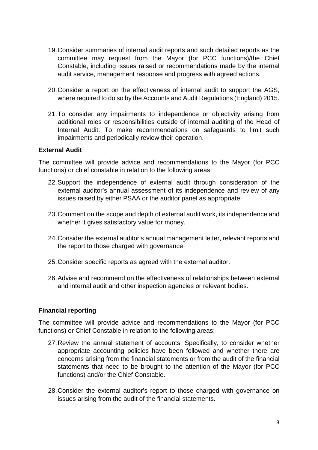- 19.Consider summaries of internal audit reports and such detailed reports as the committee may request from the Mayor (for PCC functions)/the Chief Constable, including issues raised or recommendations made by the internal audit service, management response and progress with agreed actions.
- 20.Consider a report on the effectiveness of internal audit to support the AGS, where required to do so by the Accounts and Audit Regulations (England) 2015.
- 21.To consider any impairments to independence or objectivity arising from additional roles or responsibilities outside of internal auditing of the Head of Internal Audit. To make recommendations on safeguards to limit such impairments and periodically review their operation.

#### **External Audit**

The committee will provide advice and recommendations to the Mayor (for PCC functions) or chief constable in relation to the following areas:

- 22.Support the independence of external audit through consideration of the external auditor's annual assessment of its independence and review of any issues raised by either PSAA or the auditor panel as appropriate.
- 23.Comment on the scope and depth of external audit work, its independence and whether it gives satisfactory value for money.
- 24.Consider the external auditor's annual management letter, relevant reports and the report to those charged with governance.
- 25.Consider specific reports as agreed with the external auditor.
- 26.Advise and recommend on the effectiveness of relationships between external and internal audit and other inspection agencies or relevant bodies.

#### **Financial reporting**

The committee will provide advice and recommendations to the Mayor (for PCC functions) or Chief Constable in relation to the following areas:

- 27.Review the annual statement of accounts. Specifically, to consider whether appropriate accounting policies have been followed and whether there are concerns arising from the financial statements or from the audit of the financial statements that need to be brought to the attention of the Mayor (for PCC functions) and/or the Chief Constable.
- 28.Consider the external auditor's report to those charged with governance on issues arising from the audit of the financial statements.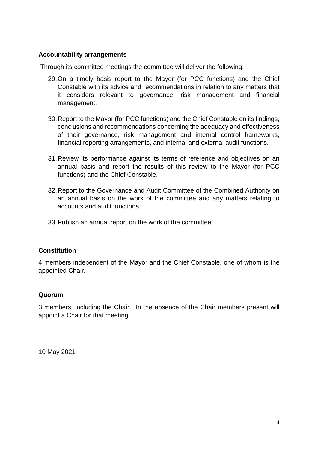#### **Accountability arrangements**

Through its committee meetings the committee will deliver the following:

- 29.On a timely basis report to the Mayor (for PCC functions) and the Chief Constable with its advice and recommendations in relation to any matters that it considers relevant to governance, risk management and financial management.
- 30.Report to the Mayor (for PCC functions) and the Chief Constable on its findings, conclusions and recommendations concerning the adequacy and effectiveness of their governance, risk management and internal control frameworks, financial reporting arrangements, and internal and external audit functions.
- 31.Review its performance against its terms of reference and objectives on an annual basis and report the results of this review to the Mayor (for PCC functions) and the Chief Constable.
- 32.Report to the Governance and Audit Committee of the Combined Authority on an annual basis on the work of the committee and any matters relating to accounts and audit functions.
- 33.Publish an annual report on the work of the committee.

#### **Constitution**

4 members independent of the Mayor and the Chief Constable, one of whom is the appointed Chair.

#### **Quorum**

3 members, including the Chair. In the absence of the Chair members present will appoint a Chair for that meeting.

10 May 2021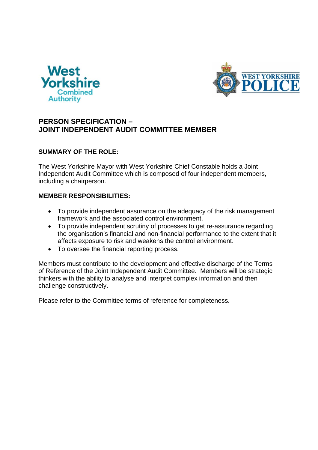



### **PERSON SPECIFICATION – JOINT INDEPENDENT AUDIT COMMITTEE MEMBER**

#### **SUMMARY OF THE ROLE:**

The West Yorkshire Mayor with West Yorkshire Chief Constable holds a Joint Independent Audit Committee which is composed of four independent members, including a chairperson.

#### **MEMBER RESPONSIBILITIES:**

- To provide independent assurance on the adequacy of the risk management framework and the associated control environment.
- To provide independent scrutiny of processes to get re-assurance regarding the organisation's financial and non-financial performance to the extent that it affects exposure to risk and weakens the control environment.
- To oversee the financial reporting process.

Members must contribute to the development and effective discharge of the Terms of Reference of the Joint Independent Audit Committee. Members will be strategic thinkers with the ability to analyse and interpret complex information and then challenge constructively.

Please refer to the Committee terms of reference for completeness.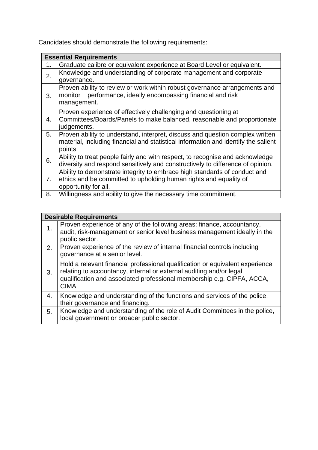Candidates should demonstrate the following requirements:

| <b>Essential Requirements</b> |                                                                                                                                                                                |  |  |  |
|-------------------------------|--------------------------------------------------------------------------------------------------------------------------------------------------------------------------------|--|--|--|
| 1.                            | Graduate calibre or equivalent experience at Board Level or equivalent.                                                                                                        |  |  |  |
| 2.                            | Knowledge and understanding of corporate management and corporate<br>governance.                                                                                               |  |  |  |
| 3.                            | Proven ability to review or work within robust governance arrangements and<br>performance, ideally encompassing financial and risk<br>monitor<br>management.                   |  |  |  |
| 4.                            | Proven experience of effectively challenging and questioning at<br>Committees/Boards/Panels to make balanced, reasonable and proportionate<br>judgements.                      |  |  |  |
| 5.                            | Proven ability to understand, interpret, discuss and question complex written<br>material, including financial and statistical information and identify the salient<br>points. |  |  |  |
| 6.                            | Ability to treat people fairly and with respect, to recognise and acknowledge<br>diversity and respond sensitively and constructively to difference of opinion.                |  |  |  |
| 7.                            | Ability to demonstrate integrity to embrace high standards of conduct and<br>ethics and be committed to upholding human rights and equality of<br>opportunity for all.         |  |  |  |
| 8.                            | Willingness and ability to give the necessary time commitment.                                                                                                                 |  |  |  |

| <b>Desirable Requirements</b> |                                                                                                                                                                                                                                               |  |  |
|-------------------------------|-----------------------------------------------------------------------------------------------------------------------------------------------------------------------------------------------------------------------------------------------|--|--|
|                               | Proven experience of any of the following areas: finance, accountancy,<br>audit, risk-management or senior level business management ideally in the<br>public sector.                                                                         |  |  |
| 2.                            | Proven experience of the review of internal financial controls including<br>governance at a senior level.                                                                                                                                     |  |  |
| 3.                            | Hold a relevant financial professional qualification or equivalent experience<br>relating to accountancy, internal or external auditing and/or legal<br>qualification and associated professional membership e.g. CIPFA, ACCA,<br><b>CIMA</b> |  |  |
| 4.                            | Knowledge and understanding of the functions and services of the police,<br>their governance and financing.                                                                                                                                   |  |  |
| 5.                            | Knowledge and understanding of the role of Audit Committees in the police,<br>local government or broader public sector.                                                                                                                      |  |  |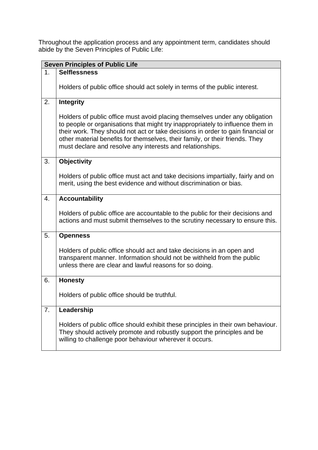Throughout the application process and any appointment term, candidates should abide by the Seven Principles of Public Life:

| <b>Seven Principles of Public Life</b> |                                                                                                                                                                                                                                                                                                                                                                                               |  |  |
|----------------------------------------|-----------------------------------------------------------------------------------------------------------------------------------------------------------------------------------------------------------------------------------------------------------------------------------------------------------------------------------------------------------------------------------------------|--|--|
| 1.                                     | <b>Selflessness</b>                                                                                                                                                                                                                                                                                                                                                                           |  |  |
|                                        | Holders of public office should act solely in terms of the public interest.                                                                                                                                                                                                                                                                                                                   |  |  |
|                                        |                                                                                                                                                                                                                                                                                                                                                                                               |  |  |
| 2.                                     | <b>Integrity</b>                                                                                                                                                                                                                                                                                                                                                                              |  |  |
|                                        | Holders of public office must avoid placing themselves under any obligation<br>to people or organisations that might try inappropriately to influence them in<br>their work. They should not act or take decisions in order to gain financial or<br>other material benefits for themselves, their family, or their friends. They<br>must declare and resolve any interests and relationships. |  |  |
| 3.                                     | <b>Objectivity</b>                                                                                                                                                                                                                                                                                                                                                                            |  |  |
|                                        | Holders of public office must act and take decisions impartially, fairly and on<br>merit, using the best evidence and without discrimination or bias.                                                                                                                                                                                                                                         |  |  |
| 4.                                     | <b>Accountability</b>                                                                                                                                                                                                                                                                                                                                                                         |  |  |
|                                        | Holders of public office are accountable to the public for their decisions and<br>actions and must submit themselves to the scrutiny necessary to ensure this.                                                                                                                                                                                                                                |  |  |
| 5.                                     | <b>Openness</b>                                                                                                                                                                                                                                                                                                                                                                               |  |  |
|                                        | Holders of public office should act and take decisions in an open and<br>transparent manner. Information should not be withheld from the public<br>unless there are clear and lawful reasons for so doing.                                                                                                                                                                                    |  |  |
| 6.                                     | <b>Honesty</b>                                                                                                                                                                                                                                                                                                                                                                                |  |  |
|                                        | Holders of public office should be truthful.                                                                                                                                                                                                                                                                                                                                                  |  |  |
| 7.                                     | Leadership                                                                                                                                                                                                                                                                                                                                                                                    |  |  |
|                                        | Holders of public office should exhibit these principles in their own behaviour.<br>They should actively promote and robustly support the principles and be<br>willing to challenge poor behaviour wherever it occurs.                                                                                                                                                                        |  |  |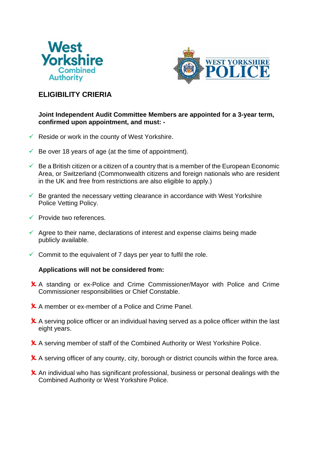



## **ELIGIBILITY CRIERIA**

#### **Joint Independent Audit Committee Members are appointed for a 3-year term, confirmed upon appointment, and must: -**

- $\checkmark$  Reside or work in the county of West Yorkshire.
- $\checkmark$  Be over 18 years of age (at the time of appointment).
- $\checkmark$  Be a British citizen or a citizen of a country that is a member of the European Economic Area, or Switzerland (Commonwealth citizens and foreign nationals who are resident in the UK and free from restrictions are also eligible to apply.)
- $\checkmark$  Be granted the necessary vetting clearance in accordance with West Yorkshire Police Vetting Policy.
- $\sqrt{ }$  Provide two references.
- $\checkmark$  Agree to their name, declarations of interest and expense claims being made publicly available.
- $\checkmark$  Commit to the equivalent of 7 days per year to fulfil the role.

#### **Applications will not be considered from:**

- A standing or ex-Police and Crime Commissioner/Mayor with Police and Crime Commissioner responsibilities or Chief Constable.
- **X** A member or ex-member of a Police and Crime Panel.
- **X** A serving police officer or an individual having served as a police officer within the last eight years.
- A serving member of staff of the Combined Authority or West Yorkshire Police.
- **X** A serving officer of any county, city, borough or district councils within the force area.
- $\boldsymbol{\times}$  An individual who has significant professional, business or personal dealings with the Combined Authority or West Yorkshire Police.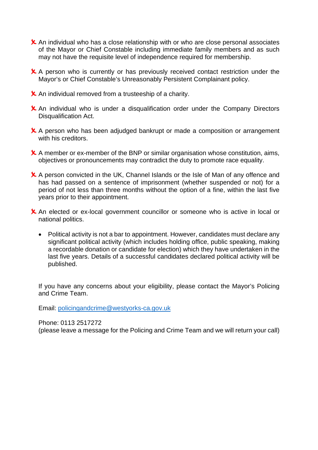- $\boldsymbol{\times}$  An individual who has a close relationship with or who are close personal associates of the Mayor or Chief Constable including immediate family members and as such may not have the requisite level of independence required for membership.
- **X** A person who is currently or has previously received contact restriction under the Mayor's or Chief Constable's Unreasonably Persistent Complainant policy.
- $\boldsymbol{\times}$  An individual removed from a trusteeship of a charity.
- $\boldsymbol{\times}$  An individual who is under a disqualification order under the Company Directors Disqualification Act.
- **X** A person who has been adjudged bankrupt or made a composition or arrangement with his creditors.
- $\boldsymbol{\times}$  A member or ex-member of the BNP or similar organisation whose constitution, aims, objectives or pronouncements may contradict the duty to promote race equality.
- **X** A person convicted in the UK, Channel Islands or the Isle of Man of any offence and has had passed on a sentence of imprisonment (whether suspended or not) for a period of not less than three months without the option of a fine, within the last five years prior to their appointment.
- **X** An elected or ex-local government councillor or someone who is active in local or national politics.
	- Political activity is not a bar to appointment. However, candidates must declare any significant political activity (which includes holding office, public speaking, making a recordable donation or candidate for election) which they have undertaken in the last five years. Details of a successful candidates declared political activity will be published.

If you have any concerns about your eligibility, please contact the Mayor's Policing and Crime Team.

Email: [policingandcrime@westyorks-ca.gov.uk](mailto:policingandcrime@westyorks-ca.gov.uk)

Phone: 0113 2517272

(please leave a message for the Policing and Crime Team and we will return your call)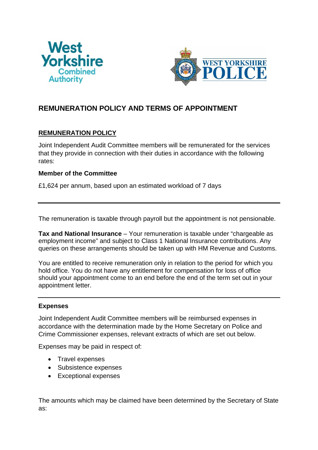



## **REMUNERATION POLICY AND TERMS OF APPOINTMENT**

#### **REMUNERATION POLICY**

Joint Independent Audit Committee members will be remunerated for the services that they provide in connection with their duties in accordance with the following rates:

#### **Member of the Committee**

£1,624 per annum, based upon an estimated workload of 7 days

The remuneration is taxable through payroll but the appointment is not pensionable.

**Tax and National Insurance** – Your remuneration is taxable under "chargeable as employment income" and subject to Class 1 National Insurance contributions. Any queries on these arrangements should be taken up with HM Revenue and Customs.

You are entitled to receive remuneration only in relation to the period for which you hold office. You do not have any entitlement for compensation for loss of office should your appointment come to an end before the end of the term set out in your appointment letter.

#### **Expenses**

Joint Independent Audit Committee members will be reimbursed expenses in accordance with the determination made by the Home Secretary on Police and Crime Commissioner expenses, relevant extracts of which are set out below.

Expenses may be paid in respect of:

- Travel expenses
- Subsistence expenses
- Exceptional expenses

The amounts which may be claimed have been determined by the Secretary of State as: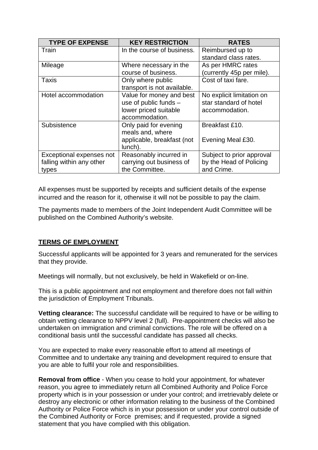| <b>TYPE OF EXPENSE</b>   | <b>KEY RESTRICTION</b>      | <b>RATES</b>              |
|--------------------------|-----------------------------|---------------------------|
| Train                    | In the course of business.  | Reimbursed up to          |
|                          |                             | standard class rates.     |
| Mileage                  | Where necessary in the      | As per HMRC rates         |
|                          | course of business.         | (currently 45p per mile). |
| Taxis                    | Only where public           | Cost of taxi fare.        |
|                          | transport is not available. |                           |
| Hotel accommodation      | Value for money and best    | No explicit limitation on |
|                          | use of public funds -       | star standard of hotel    |
|                          | lower priced suitable       | accommodation.            |
|                          | accommodation.              |                           |
| Subsistence              | Only paid for evening       | Breakfast £10.            |
|                          | meals and, where            |                           |
|                          | applicable, breakfast (not  | Evening Meal £30.         |
|                          | lunch).                     |                           |
| Exceptional expenses not | Reasonably incurred in      | Subject to prior approval |
| falling within any other | carrying out business of    | by the Head of Policing   |
| types                    | the Committee.              | and Crime.                |

All expenses must be supported by receipts and sufficient details of the expense incurred and the reason for it, otherwise it will not be possible to pay the claim.

The payments made to members of the Joint Independent Audit Committee will be published on the Combined Authority's website.

#### **TERMS OF EMPLOYMENT**

Successful applicants will be appointed for 3 years and remunerated for the services that they provide.

Meetings will normally, but not exclusively, be held in Wakefield or on-line.

This is a public appointment and not employment and therefore does not fall within the jurisdiction of Employment Tribunals.

**Vetting clearance:** The successful candidate will be required to have or be willing to obtain vetting clearance to NPPV level 2 (full). Pre-appointment checks will also be undertaken on immigration and criminal convictions. The role will be offered on a conditional basis until the successful candidate has passed all checks.

You are expected to make every reasonable effort to attend all meetings of Committee and to undertake any training and development required to ensure that you are able to fulfil your role and responsibilities.

**Removal from office** - When you cease to hold your appointment, for whatever reason, you agree to immediately return all Combined Authority and Police Force property which is in your possession or under your control; and irretrievably delete or destroy any electronic or other information relating to the business of the Combined Authority or Police Force which is in your possession or under your control outside of the Combined Authority or Force premises; and if requested, provide a signed statement that you have complied with this obligation.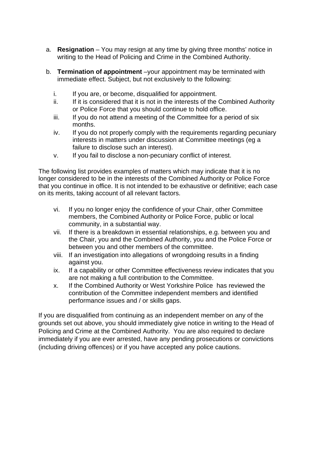- a. **Resignation**  You may resign at any time by giving three months' notice in writing to the Head of Policing and Crime in the Combined Authority.
- b. **Termination of appointment** –your appointment may be terminated with immediate effect. Subject, but not exclusively to the following:
	- i. If you are, or become, disqualified for appointment.
	- ii. If it is considered that it is not in the interests of the Combined Authority or Police Force that you should continue to hold office.
	- iii. If you do not attend a meeting of the Committee for a period of six months.
	- iv. If you do not properly comply with the requirements regarding pecuniary interests in matters under discussion at Committee meetings (eg a failure to disclose such an interest).
	- v. If you fail to disclose a non-pecuniary conflict of interest.

The following list provides examples of matters which may indicate that it is no longer considered to be in the interests of the Combined Authority or Police Force that you continue in office. It is not intended to be exhaustive or definitive; each case on its merits, taking account of all relevant factors.

- vi. If you no longer enjoy the confidence of your Chair, other Committee members, the Combined Authority or Police Force, public or local community, in a substantial way.
- vii. If there is a breakdown in essential relationships, e.g. between you and the Chair, you and the Combined Authority, you and the Police Force or between you and other members of the committee.
- viii. If an investigation into allegations of wrongdoing results in a finding against you.
- ix. If a capability or other Committee effectiveness review indicates that you are not making a full contribution to the Committee.
- x. If the Combined Authority or West Yorkshire Police has reviewed the contribution of the Committee independent members and identified performance issues and / or skills gaps.

If you are disqualified from continuing as an independent member on any of the grounds set out above, you should immediately give notice in writing to the Head of Policing and Crime at the Combined Authority. You are also required to declare immediately if you are ever arrested, have any pending prosecutions or convictions (including driving offences) or if you have accepted any police cautions.